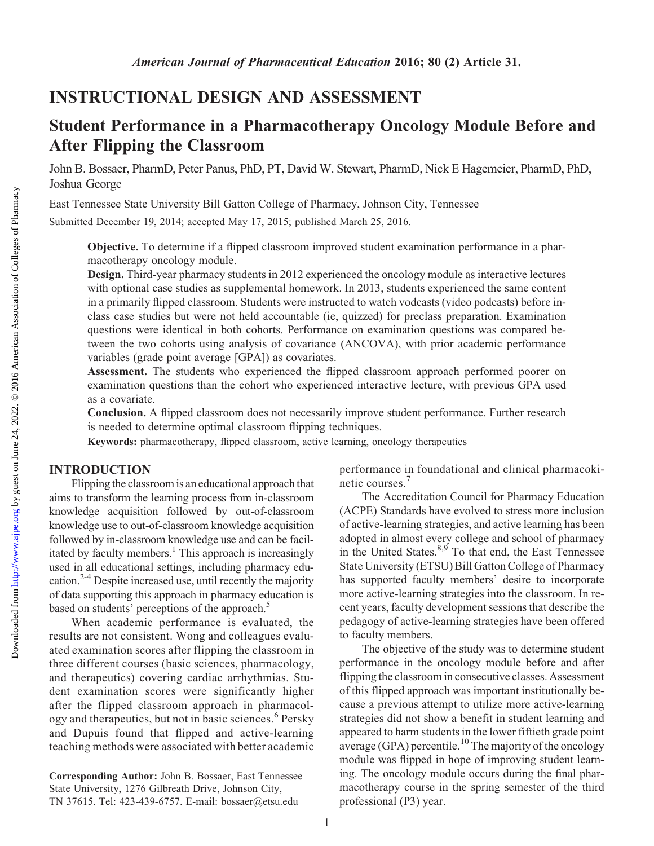# Student Performance in a Pharmacotherapy Oncology Module Before and After Flipping the Classroom

John B. Bossaer, PharmD, Peter Panus, PhD, PT, David W. Stewart, PharmD, Nick E Hagemeier, PharmD, PhD, Joshua George

East Tennessee State University Bill Gatton College of Pharmacy, Johnson City, Tennessee

Submitted December 19, 2014; accepted May 17, 2015; published March 25, 2016.

Objective. To determine if a flipped classroom improved student examination performance in a pharmacotherapy oncology module.

Design. Third-year pharmacy students in 2012 experienced the oncology module as interactive lectures with optional case studies as supplemental homework. In 2013, students experienced the same content in a primarily flipped classroom. Students were instructed to watch vodcasts (video podcasts) before inclass case studies but were not held accountable (ie, quizzed) for preclass preparation. Examination questions were identical in both cohorts. Performance on examination questions was compared between the two cohorts using analysis of covariance (ANCOVA), with prior academic performance variables (grade point average [GPA]) as covariates.

Assessment. The students who experienced the flipped classroom approach performed poorer on examination questions than the cohort who experienced interactive lecture, with previous GPA used as a covariate.

Conclusion. A flipped classroom does not necessarily improve student performance. Further research is needed to determine optimal classroom flipping techniques.

Keywords: pharmacotherapy, flipped classroom, active learning, oncology therapeutics

## INTRODUCTION

Flipping the classroom is an educational approachthat aims to transform the learning process from in-classroom knowledge acquisition followed by out-of-classroom knowledge use to out-of-classroom knowledge acquisition followed by in-classroom knowledge use and can be facilitated by faculty members.<sup>1</sup> This approach is increasingly used in all educational settings, including pharmacy education. $2-4$  Despite increased use, until recently the majority of data supporting this approach in pharmacy education is based on students' perceptions of the approach.<sup>5</sup>

When academic performance is evaluated, the results are not consistent. Wong and colleagues evaluated examination scores after flipping the classroom in three different courses (basic sciences, pharmacology, and therapeutics) covering cardiac arrhythmias. Student examination scores were significantly higher after the flipped classroom approach in pharmacology and therapeutics, but not in basic sciences.<sup>6</sup> Persky and Dupuis found that flipped and active-learning teaching methods were associated with better academic

performance in foundational and clinical pharmacokinetic courses.<sup>7</sup>

The Accreditation Council for Pharmacy Education (ACPE) Standards have evolved to stress more inclusion of active-learning strategies, and active learning has been adopted in almost every college and school of pharmacy in the United States. $8,9$  To that end, the East Tennessee State University (ETSU) Bill Gatton College of Pharmacy has supported faculty members' desire to incorporate more active-learning strategies into the classroom. In recent years, faculty development sessions that describe the pedagogy of active-learning strategies have been offered to faculty members.

The objective of the study was to determine student performance in the oncology module before and after flipping the classroom in consecutive classes. Assessment of this flipped approach was important institutionally because a previous attempt to utilize more active-learning strategies did not show a benefit in student learning and appeared to harm students in the lower fiftieth grade point  $\frac{1}{2}$  average (GPA) percentile.<sup>10</sup> The majority of the oncology module was flipped in hope of improving student learning. The oncology module occurs during the final pharmacotherapy course in the spring semester of the third professional (P3) year.

Corresponding Author: John B. Bossaer, East Tennessee State University, 1276 Gilbreath Drive, Johnson City, TN 37615. Tel: 423-439-6757. E-mail: [bossaer@etsu.edu](mailto:bossaer@etsu.edu)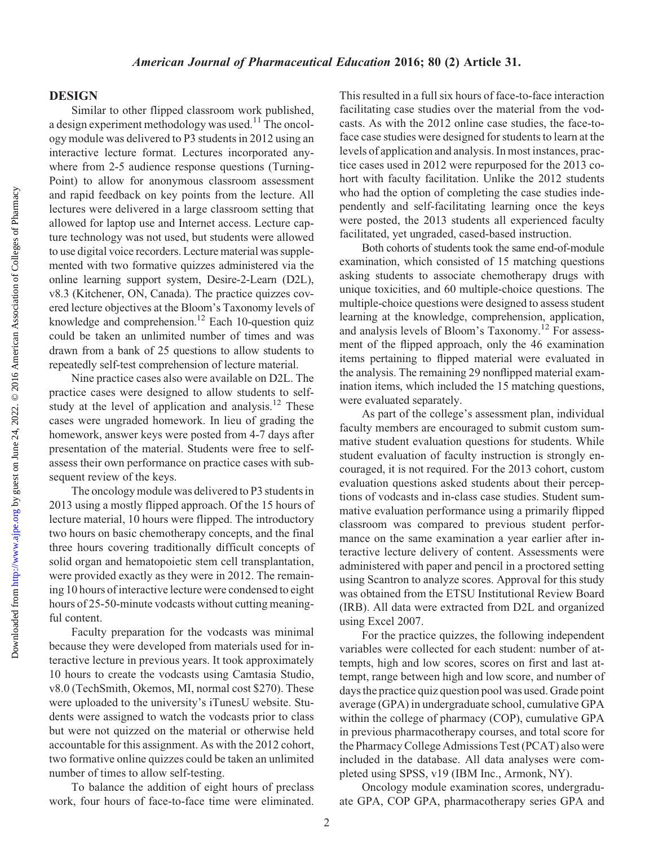## DESIGN

Similar to other flipped classroom work published, a design experiment methodology was used.<sup>11</sup> The oncology module was delivered to P3 students in 2012 using an interactive lecture format. Lectures incorporated anywhere from 2-5 audience response questions (Turning-Point) to allow for anonymous classroom assessment and rapid feedback on key points from the lecture. All lectures were delivered in a large classroom setting that allowed for laptop use and Internet access. Lecture capture technology was not used, but students were allowed to use digital voice recorders. Lecture material was supplemented with two formative quizzes administered via the online learning support system, Desire-2-Learn (D2L), v8.3 (Kitchener, ON, Canada). The practice quizzes covered lecture objectives at the Bloom's Taxonomy levels of knowledge and comprehension.<sup>12</sup> Each 10-question quiz could be taken an unlimited number of times and was drawn from a bank of 25 questions to allow students to repeatedly self-test comprehension of lecture material.

Nine practice cases also were available on D2L. The practice cases were designed to allow students to selfstudy at the level of application and analysis.<sup>12</sup> These cases were ungraded homework. In lieu of grading the homework, answer keys were posted from 4-7 days after presentation of the material. Students were free to selfassess their own performance on practice cases with subsequent review of the keys.

The oncology module was delivered to P3 students in 2013 using a mostly flipped approach. Of the 15 hours of lecture material, 10 hours were flipped. The introductory two hours on basic chemotherapy concepts, and the final three hours covering traditionally difficult concepts of solid organ and hematopoietic stem cell transplantation, were provided exactly as they were in 2012. The remaining 10 hours of interactive lecture were condensed to eight hours of 25-50-minute vodcasts without cutting meaningful content.

Faculty preparation for the vodcasts was minimal because they were developed from materials used for interactive lecture in previous years. It took approximately 10 hours to create the vodcasts using Camtasia Studio, v8.0 (TechSmith, Okemos, MI, normal cost \$270). These were uploaded to the university's iTunesU website. Students were assigned to watch the vodcasts prior to class but were not quizzed on the material or otherwise held accountable for this assignment. As with the 2012 cohort, two formative online quizzes could be taken an unlimited number of times to allow self-testing.

To balance the addition of eight hours of preclass work, four hours of face-to-face time were eliminated.

This resulted in a full six hours of face-to-face interaction facilitating case studies over the material from the vodcasts. As with the 2012 online case studies, the face-toface case studies were designed for students to learn at the levels of application and analysis. In most instances, practice cases used in 2012 were repurposed for the 2013 cohort with faculty facilitation. Unlike the 2012 students who had the option of completing the case studies independently and self-facilitating learning once the keys were posted, the 2013 students all experienced faculty facilitated, yet ungraded, cased-based instruction.

Both cohorts of students took the same end-of-module examination, which consisted of 15 matching questions asking students to associate chemotherapy drugs with unique toxicities, and 60 multiple-choice questions. The multiple-choice questions were designed to assess student learning at the knowledge, comprehension, application, and analysis levels of Bloom's Taxonomy.<sup>12</sup> For assessment of the flipped approach, only the 46 examination items pertaining to flipped material were evaluated in the analysis. The remaining 29 nonflipped material examination items, which included the 15 matching questions, were evaluated separately.

As part of the college's assessment plan, individual faculty members are encouraged to submit custom summative student evaluation questions for students. While student evaluation of faculty instruction is strongly encouraged, it is not required. For the 2013 cohort, custom evaluation questions asked students about their perceptions of vodcasts and in-class case studies. Student summative evaluation performance using a primarily flipped classroom was compared to previous student performance on the same examination a year earlier after interactive lecture delivery of content. Assessments were administered with paper and pencil in a proctored setting using Scantron to analyze scores. Approval for this study was obtained from the ETSU Institutional Review Board (IRB). All data were extracted from D2L and organized using Excel 2007.

For the practice quizzes, the following independent variables were collected for each student: number of attempts, high and low scores, scores on first and last attempt, range between high and low score, and number of days the practice quiz question pool was used. Grade point average (GPA) in undergraduate school, cumulative GPA within the college of pharmacy (COP), cumulative GPA in previous pharmacotherapy courses, and total score for the Pharmacy College Admissions Test (PCAT) also were included in the database. All data analyses were completed using SPSS, v19 (IBM Inc., Armonk, NY).

Oncology module examination scores, undergraduate GPA, COP GPA, pharmacotherapy series GPA and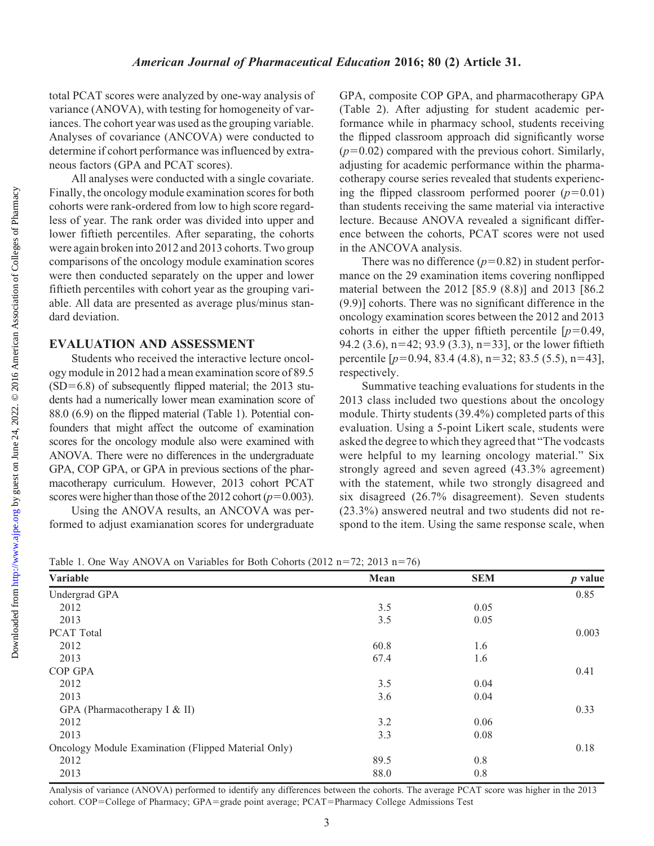total PCAT scores were analyzed by one-way analysis of variance (ANOVA), with testing for homogeneity of variances. The cohort year was used as the grouping variable. Analyses of covariance (ANCOVA) were conducted to determine if cohort performance was influenced by extraneous factors (GPA and PCAT scores).

All analyses were conducted with a single covariate. Finally, the oncology module examination scores for both cohorts were rank-ordered from low to high score regardless of year. The rank order was divided into upper and lower fiftieth percentiles. After separating, the cohorts were again broken into 2012 and 2013 cohorts. Two group comparisons of the oncology module examination scores were then conducted separately on the upper and lower fiftieth percentiles with cohort year as the grouping variable. All data are presented as average plus/minus standard deviation.

## EVALUATION AND ASSESSMENT

Students who received the interactive lecture oncology module in 2012 had a mean examination score of 89.5  $(SD=6.8)$  of subsequently flipped material; the 2013 students had a numerically lower mean examination score of 88.0 (6.9) on the flipped material (Table 1). Potential confounders that might affect the outcome of examination scores for the oncology module also were examined with ANOVA. There were no differences in the undergraduate GPA, COP GPA, or GPA in previous sections of the pharmacotherapy curriculum. However, 2013 cohort PCAT scores were higher than those of the 2012 cohort ( $p=0.003$ ).

Using the ANOVA results, an ANCOVA was performed to adjust examianation scores for undergraduate GPA, composite COP GPA, and pharmacotherapy GPA (Table 2). After adjusting for student academic performance while in pharmacy school, students receiving the flipped classroom approach did significantly worse  $(p=0.02)$  compared with the previous cohort. Similarly, adjusting for academic performance within the pharmacotherapy course series revealed that students experiencing the flipped classroom performed poorer  $(p=0.01)$ than students receiving the same material via interactive lecture. Because ANOVA revealed a significant difference between the cohorts, PCAT scores were not used in the ANCOVA analysis.

There was no difference  $(p=0.82)$  in student performance on the 29 examination items covering nonflipped material between the 2012 [85.9 (8.8)] and 2013 [86.2 (9.9)] cohorts. There was no significant difference in the oncology examination scores between the 2012 and 2013 cohorts in either the upper fiftieth percentile  $[p=0.49,$ 94.2 (3.6),  $n=42$ ; 93.9 (3.3),  $n=33$ ], or the lower fiftieth percentile  $[p=0.94, 83.4 (4.8), n=32; 83.5 (5.5), n=43]$ , respectively.

Summative teaching evaluations for students in the 2013 class included two questions about the oncology module. Thirty students (39.4%) completed parts of this evaluation. Using a 5-point Likert scale, students were asked the degree to which they agreed that "The vodcasts were helpful to my learning oncology material." Six strongly agreed and seven agreed (43.3% agreement) with the statement, while two strongly disagreed and six disagreed (26.7% disagreement). Seven students (23.3%) answered neutral and two students did not respond to the item. Using the same response scale, when

Table 1. One Way ANOVA on Variables for Both Cohorts (2012 n=72; 2013 n=76)

| Variable                                            | Mean | <b>SEM</b> | <i>p</i> value |  |
|-----------------------------------------------------|------|------------|----------------|--|
| Undergrad GPA                                       |      |            | 0.85           |  |
| 2012                                                | 3.5  | 0.05       |                |  |
| 2013                                                | 3.5  | 0.05       |                |  |
| PCAT Total                                          |      |            | 0.003          |  |
| 2012                                                | 60.8 | 1.6        |                |  |
| 2013                                                | 67.4 | 1.6        |                |  |
| COP GPA                                             |      |            | 0.41           |  |
| 2012                                                | 3.5  | 0.04       |                |  |
| 2013                                                | 3.6  | 0.04       |                |  |
| GPA (Pharmacotherapy I & II)                        |      |            | 0.33           |  |
| 2012                                                | 3.2  | 0.06       |                |  |
| 2013                                                | 3.3  | 0.08       |                |  |
| Oncology Module Examination (Flipped Material Only) |      |            | 0.18           |  |
| 2012                                                | 89.5 | 0.8        |                |  |
| 2013                                                | 88.0 | 0.8        |                |  |

Analysis of variance (ANOVA) performed to identify any differences between the cohorts. The average PCAT score was higher in the 2013 cohort. COP=College of Pharmacy; GPA=grade point average; PCAT=Pharmacy College Admissions Test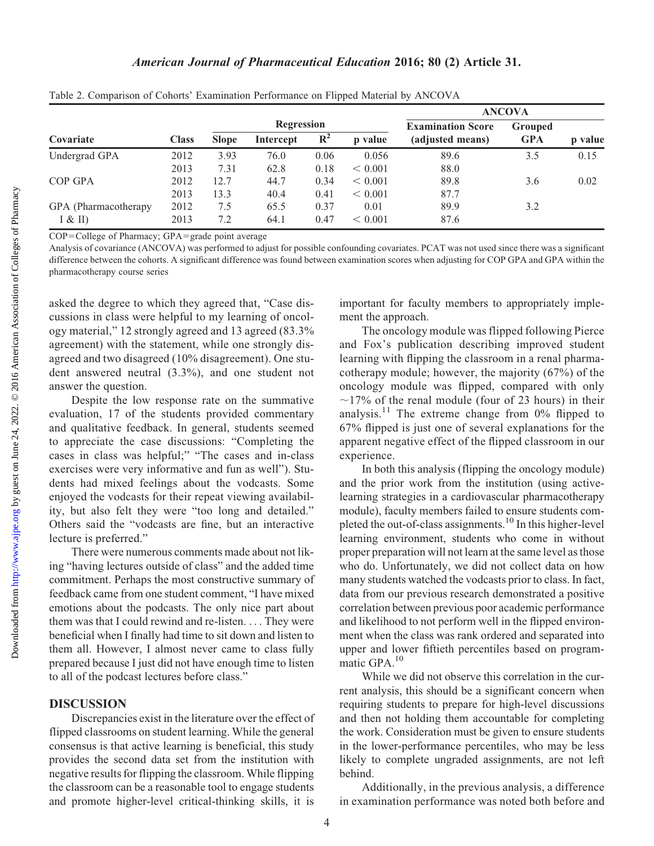Downloaded from

## American Journal of Pharmaceutical Education 2016; 80 (2) Article 31.

|                       |              |                   |           |                |                          | <b>ANCOVA</b>    |            |         |
|-----------------------|--------------|-------------------|-----------|----------------|--------------------------|------------------|------------|---------|
|                       |              | <b>Regression</b> |           |                | <b>Examination Score</b> | Grouped          |            |         |
| Covariate             | <b>Class</b> | <b>Slope</b>      | Intercept | $\mathbf{R}^2$ | p value                  | (adjusted means) | <b>GPA</b> | p value |
| Undergrad GPA         | 2012         | 3.93              | 76.0      | 0.06           | 0.056                    | 89.6             | 3.5        | 0.15    |
|                       | 2013         | 7.31              | 62.8      | 0.18           | < 0.001                  | 88.0             |            |         |
| COP GPA               | 2012         | 12.7              | 44.7      | 0.34           | < 0.001                  | 89.8             | 3.6        | 0.02    |
|                       | 2013         | 13.3              | 40.4      | 0.41           | < 0.001                  | 87.7             |            |         |
| GPA (Pharmacotherapy) | 2012         | 7.5               | 65.5      | 0.37           | 0.01                     | 89.9             | 3.2        |         |
| I & H                 | 2013         | 7.2               | 64.1      | 0.47           | < 0.001                  | 87.6             |            |         |

Table 2. Comparison of Cohorts' Examination Performance on Flipped Material by ANCOVA

 $COP = College$  of Pharmacy;  $GPA = grade$  point average

Analysis of covariance (ANCOVA) was performed to adjust for possible confounding covariates. PCAT was not used since there was a significant difference between the cohorts. A significant difference was found between examination scores when adjusting for COP GPA and GPA within the pharmacotherapy course series

asked the degree to which they agreed that, "Case discussions in class were helpful to my learning of oncology material," 12 strongly agreed and 13 agreed (83.3% agreement) with the statement, while one strongly disagreed and two disagreed (10% disagreement). One student answered neutral (3.3%), and one student not answer the question.

Despite the low response rate on the summative evaluation, 17 of the students provided commentary and qualitative feedback. In general, students seemed to appreciate the case discussions: "Completing the cases in class was helpful;" "The cases and in-class exercises were very informative and fun as well"). Students had mixed feelings about the vodcasts. Some enjoyed the vodcasts for their repeat viewing availability, but also felt they were "too long and detailed." Others said the "vodcasts are fine, but an interactive lecture is preferred."

There were numerous comments made about not liking "having lectures outside of class" and the added time commitment. Perhaps the most constructive summary of feedback came from one student comment, "I have mixed emotions about the podcasts. The only nice part about them was that I could rewind and re-listen. ... They were beneficial when I finally had time to sit down and listen to them all. However, I almost never came to class fully prepared because I just did not have enough time to listen to all of the podcast lectures before class."

## DISCUSSION

Discrepancies exist in the literature over the effect of flipped classrooms on student learning. While the general consensus is that active learning is beneficial, this study provides the second data set from the institution with negative results for flipping the classroom. While flipping the classroom can be a reasonable tool to engage students and promote higher-level critical-thinking skills, it is

important for faculty members to appropriately implement the approach.

The oncology module was flipped following Pierce and Fox's publication describing improved student learning with flipping the classroom in a renal pharmacotherapy module; however, the majority (67%) of the oncology module was flipped, compared with only  $\sim$ 17% of the renal module (four of 23 hours) in their analysis.<sup>11</sup> The extreme change from  $0\%$  flipped to 67% flipped is just one of several explanations for the apparent negative effect of the flipped classroom in our experience.

In both this analysis (flipping the oncology module) and the prior work from the institution (using activelearning strategies in a cardiovascular pharmacotherapy module), faculty members failed to ensure students completed the out-of-class assignments.<sup>10</sup> In this higher-level learning environment, students who come in without proper preparation will not learn at the same level as those who do. Unfortunately, we did not collect data on how many students watched the vodcasts prior to class. In fact, data from our previous research demonstrated a positive correlation between previous poor academic performance and likelihood to not perform well in the flipped environment when the class was rank ordered and separated into upper and lower fiftieth percentiles based on programmatic GPA.10

While we did not observe this correlation in the current analysis, this should be a significant concern when requiring students to prepare for high-level discussions and then not holding them accountable for completing the work. Consideration must be given to ensure students in the lower-performance percentiles, who may be less likely to complete ungraded assignments, are not left behind.

Additionally, in the previous analysis, a difference in examination performance was noted both before and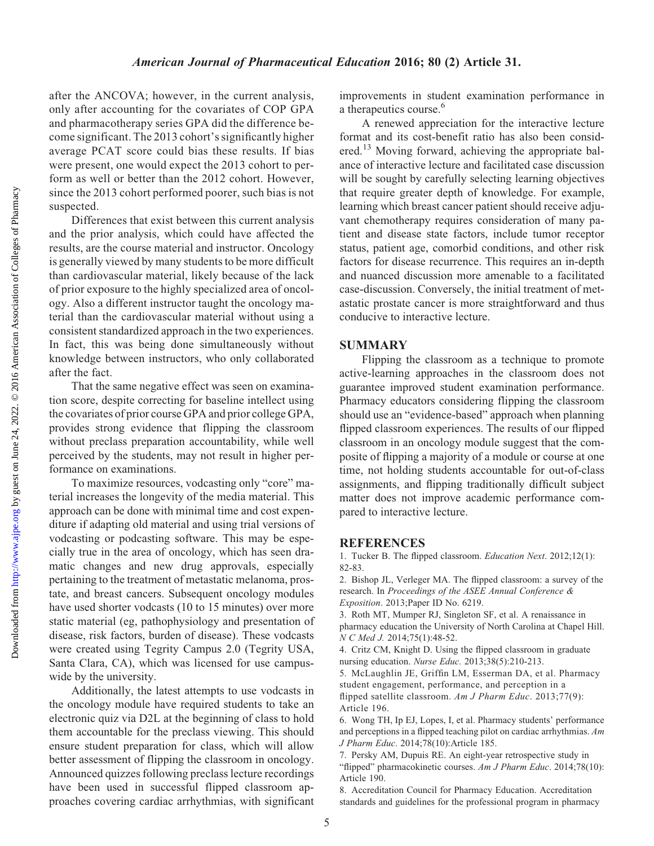Downloaded from

after the ANCOVA; however, in the current analysis, only after accounting for the covariates of COP GPA and pharmacotherapy series GPA did the difference become significant. The 2013 cohort's significantly higher average PCAT score could bias these results. If bias were present, one would expect the 2013 cohort to perform as well or better than the 2012 cohort. However, since the 2013 cohort performed poorer, such bias is not suspected.

Differences that exist between this current analysis and the prior analysis, which could have affected the results, are the course material and instructor. Oncology is generally viewed by many students to be more difficult than cardiovascular material, likely because of the lack of prior exposure to the highly specialized area of oncology. Also a different instructor taught the oncology material than the cardiovascular material without using a consistent standardized approach in the two experiences. In fact, this was being done simultaneously without knowledge between instructors, who only collaborated after the fact.

That the same negative effect was seen on examination score, despite correcting for baseline intellect using the covariates of prior course GPA and prior college GPA, provides strong evidence that flipping the classroom without preclass preparation accountability, while well perceived by the students, may not result in higher performance on examinations.

To maximize resources, vodcasting only "core" material increases the longevity of the media material. This approach can be done with minimal time and cost expenditure if adapting old material and using trial versions of vodcasting or podcasting software. This may be especially true in the area of oncology, which has seen dramatic changes and new drug approvals, especially pertaining to the treatment of metastatic melanoma, prostate, and breast cancers. Subsequent oncology modules have used shorter vodcasts (10 to 15 minutes) over more static material (eg, pathophysiology and presentation of disease, risk factors, burden of disease). These vodcasts were created using Tegrity Campus 2.0 (Tegrity USA, Santa Clara, CA), which was licensed for use campuswide by the university.

Additionally, the latest attempts to use vodcasts in the oncology module have required students to take an electronic quiz via D2L at the beginning of class to hold them accountable for the preclass viewing. This should ensure student preparation for class, which will allow better assessment of flipping the classroom in oncology. Announced quizzes following preclass lecture recordings have been used in successful flipped classroom approaches covering cardiac arrhythmias, with significant

improvements in student examination performance in a therapeutics course.<sup>6</sup>

A renewed appreciation for the interactive lecture format and its cost-benefit ratio has also been considered.<sup>13</sup> Moving forward, achieving the appropriate balance of interactive lecture and facilitated case discussion will be sought by carefully selecting learning objectives that require greater depth of knowledge. For example, learning which breast cancer patient should receive adjuvant chemotherapy requires consideration of many patient and disease state factors, include tumor receptor status, patient age, comorbid conditions, and other risk factors for disease recurrence. This requires an in-depth and nuanced discussion more amenable to a facilitated case-discussion. Conversely, the initial treatment of metastatic prostate cancer is more straightforward and thus conducive to interactive lecture.

### SUMMARY

Flipping the classroom as a technique to promote active-learning approaches in the classroom does not guarantee improved student examination performance. Pharmacy educators considering flipping the classroom should use an "evidence-based" approach when planning flipped classroom experiences. The results of our flipped classroom in an oncology module suggest that the composite of flipping a majority of a module or course at one time, not holding students accountable for out-of-class assignments, and flipping traditionally difficult subject matter does not improve academic performance compared to interactive lecture.

#### **REFERENCES**

1. Tucker B. The flipped classroom. Education Next. 2012;12(1): 82-83.

2. Bishop JL, Verleger MA. The flipped classroom: a survey of the research. In Proceedings of the ASEE Annual Conference & Exposition. 2013;Paper ID No. 6219.

3. Roth MT, Mumper RJ, Singleton SF, et al. A renaissance in pharmacy education the University of North Carolina at Chapel Hill. N C Med J. 2014;75(1):48-52.

4. Critz CM, Knight D. Using the flipped classroom in graduate nursing education. Nurse Educ. 2013;38(5):210-213.

5. McLaughlin JE, Griffin LM, Esserman DA, et al. Pharmacy student engagement, performance, and perception in a flipped satellite classroom. Am J Pharm Educ. 2013;77(9):

Article 196.

6. Wong TH, Ip EJ, Lopes, I, et al. Pharmacy students' performance and perceptions in a flipped teaching pilot on cardiac arrhythmias. Am J Pharm Educ. 2014;78(10):Article 185.

7. Persky AM, Dupuis RE. An eight-year retrospective study in "flipped" pharmacokinetic courses. Am J Pharm Educ. 2014;78(10): Article 190.

8. Accreditation Council for Pharmacy Education. Accreditation standards and guidelines for the professional program in pharmacy